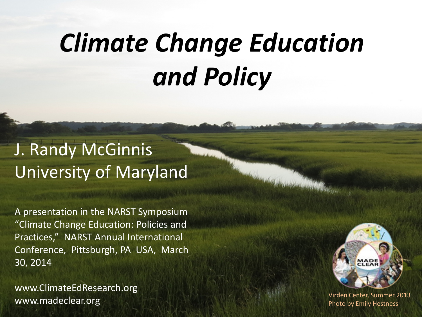### *Climate Change Education and Policy*

### J. Randy McGinnis University of Maryland

A presentation in the NARST Symposium "Climate Change Education: Policies and Practices," NARST Annual International Conference, Pittsburgh, PA USA, March 30, 2014

www.ClimateEdResearch.org WWW.madeclear.org and the Center of the Center of the Virden Center, Summer 2013<br>Photo by Fmily Hestness



Photo by Emily Hestness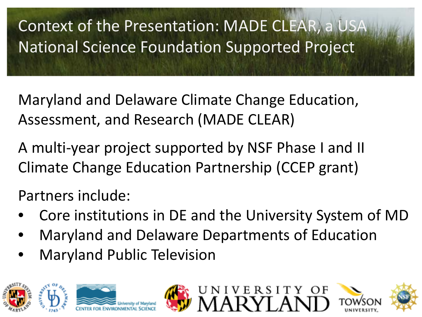Context of the Presentation: MADE CLEAR, a USA National Science Foundation Supported Project

Maryland and Delaware Climate Change Education, Assessment, and Research (MADE CLEAR)

A multi-year project supported by NSF Phase I and II Climate Change Education Partnership (CCEP grant)

Partners include:

- Core institutions in DE and the University System of MD
- Maryland and Delaware Departments of Education
- Maryland Public Television









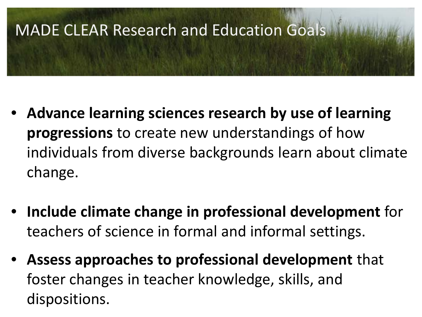# **MADE CLEAR Research and Education Goals**

- **Advance learning sciences research by use of learning progressions** to create new understandings of how individuals from diverse backgrounds learn about climate change.
- **Include climate change in professional development** for teachers of science in formal and informal settings.
- **Assess approaches to professional development** that foster changes in teacher knowledge, skills, and dispositions.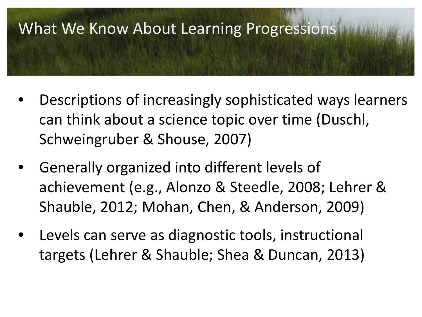

- Descriptions of increasingly sophisticated ways learners can think about a science topic over time (Duschl, Schweingruber & Shouse, 2007)
- Generally organized into different levels of achievement (e.g., Alonzo & Steedle, 2008; Lehrer & Shauble, 2012; Mohan, Chen, & Anderson, 2009)
- Levels can serve as diagnostic tools, instructional targets (Lehrer & Shauble; Shea & Duncan, 2013)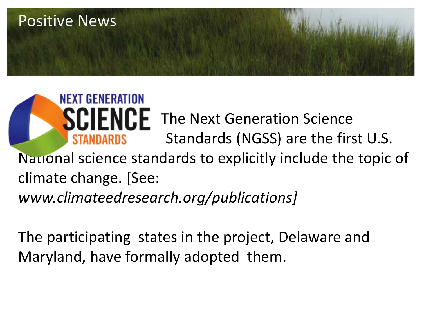

 $\overline{\phantom{a}}$ **SCIENCE** The Next Generation Science Standards (NGSS) are the first U.S. National science standards to explicitly include the topic of climate change. [See: *www.climateedresearch.org/publications]*

The participating states in the project, Delaware and Maryland, have formally adopted them.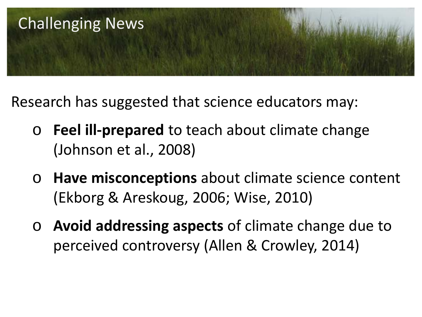

Research has suggested that science educators may:

- o **Feel ill-prepared** to teach about climate change (Johnson et al., 2008)
- o **Have misconceptions** about climate science content (Ekborg & Areskoug, 2006; Wise, 2010)
- o **Avoid addressing aspects** of climate change due to perceived controversy (Allen & Crowley, 2014)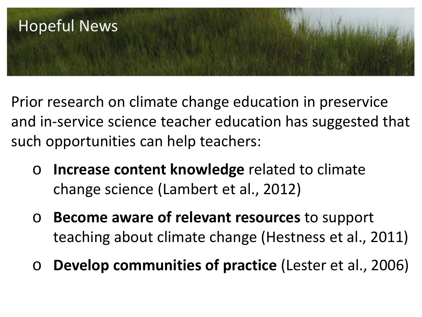

Prior research on climate change education in preservice and in-service science teacher education has suggested that such opportunities can help teachers:

- o **Increase content knowledge** related to climate change science (Lambert et al., 2012)
- o **Become aware of relevant resources** to support teaching about climate change (Hestness et al., 2011)
- o **Develop communities of practice** (Lester et al., 2006)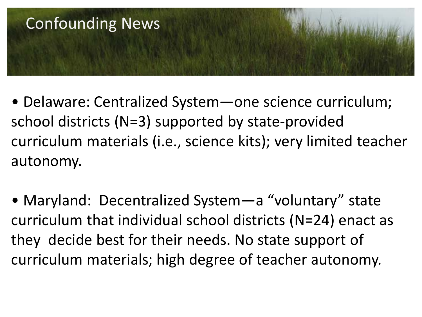

- Delaware: Centralized System—one science curriculum; school districts (N=3) supported by state-provided curriculum materials (i.e., science kits); very limited teacher autonomy.
- Maryland: Decentralized System—a "voluntary" state curriculum that individual school districts (N=24) enact as they decide best for their needs. No state support of curriculum materials; high degree of teacher autonomy.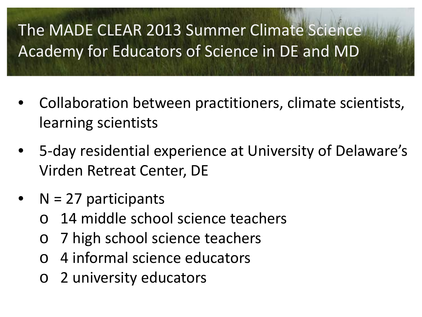### The MADE CLEAR 2013 Summer Climate Science Academy for Educators of Science in DE and MD

- Collaboration between practitioners, climate scientists, learning scientists
- 5-day residential experience at University of Delaware's Virden Retreat Center, DE
- $N = 27$  participants
	- o 14 middle school science teachers
	- o 7 high school science teachers
	- o 4 informal science educators
	- o 2 university educators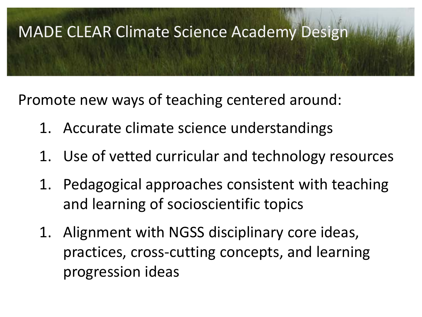# **MADE CLEAR Climate Science Academy Design**

Promote new ways of teaching centered around:

- 1. Accurate climate science understandings
- 1. Use of vetted curricular and technology resources
- 1. Pedagogical approaches consistent with teaching and learning of socioscientific topics
- 1. Alignment with NGSS disciplinary core ideas, practices, cross-cutting concepts, and learning progression ideas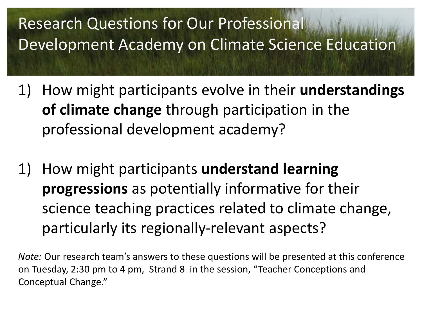## Research Questions for Our Professional<br>Development Academy on Climate Science Education

- 1) How might participants evolve in their **understandings of climate change** through participation in the professional development academy?
- 1) How might participants **understand learning progressions** as potentially informative for their science teaching practices related to climate change, particularly its regionally-relevant aspects?

*Note:* Our research team's answers to these questions will be presented at this conference on Tuesday, 2:30 pm to 4 pm, Strand 8 in the session, "Teacher Conceptions and Conceptual Change."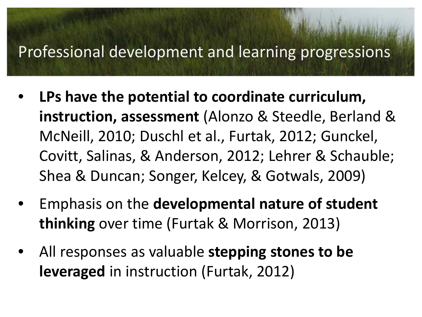#### nent and le Professional development and learning progressions

- **LPs have the potential to coordinate curriculum, instruction, assessment** (Alonzo & Steedle, Berland & McNeill, 2010; Duschl et al., Furtak, 2012; Gunckel, Covitt, Salinas, & Anderson, 2012; Lehrer & Schauble; Shea & Duncan; Songer, Kelcey, & Gotwals, 2009)
- Emphasis on the **developmental nature of student thinking** over time (Furtak & Morrison, 2013)
- All responses as valuable **stepping stones to be leveraged** in instruction (Furtak, 2012)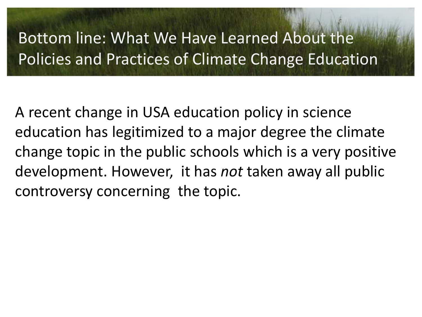### Bottom line: What We Have Learned About the Policies and Practices of Climate Change Education

A recent change in USA education policy in science education has legitimized to a major degree the climate change topic in the public schools which is a very positive development. However, it has *not* taken away all public controversy concerning the topic.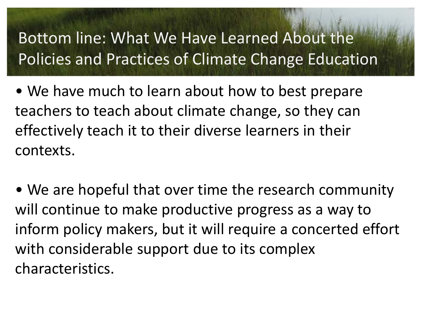### Bottom line: What We Have Learned About the Policies and Practices of Climate Change Education

• We have much to learn about how to best prepare teachers to teach about climate change, so they can effectively teach it to their diverse learners in their contexts.

• We are hopeful that over time the research community will continue to make productive progress as a way to inform policy makers, but it will require a concerted effort with considerable support due to its complex characteristics.